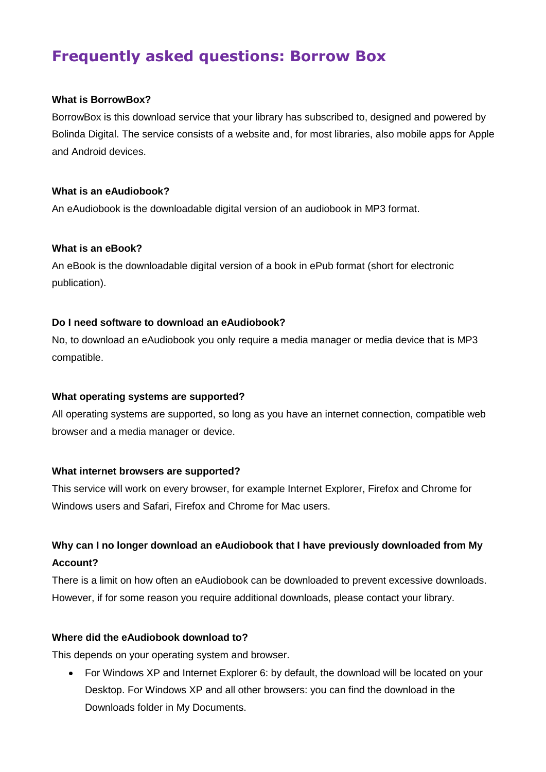# **Frequently asked questions: Borrow Box**

#### **What is BorrowBox?**

BorrowBox is this download service that your library has subscribed to, designed and powered by Bolinda Digital. The service consists of a website and, for most libraries, also mobile apps for Apple and Android devices.

#### **What is an eAudiobook?**

An eAudiobook is the downloadable digital version of an audiobook in MP3 format.

#### **What is an eBook?**

An eBook is the downloadable digital version of a book in ePub format (short for electronic publication).

#### **Do I need software to download an eAudiobook?**

No, to download an eAudiobook you only require a media manager or media device that is MP3 compatible.

#### **What operating systems are supported?**

All operating systems are supported, so long as you have an internet connection, compatible web browser and a media manager or device.

#### **What internet browsers are supported?**

This service will work on every browser, for example Internet Explorer, Firefox and Chrome for Windows users and Safari, Firefox and Chrome for Mac users.

# **Why can I no longer download an eAudiobook that I have previously downloaded from My Account?**

There is a limit on how often an eAudiobook can be downloaded to prevent excessive downloads. However, if for some reason you require additional downloads, please contact your library.

#### **Where did the eAudiobook download to?**

This depends on your operating system and browser.

 For Windows XP and Internet Explorer 6: by default, the download will be located on your Desktop. For Windows XP and all other browsers: you can find the download in the Downloads folder in My Documents.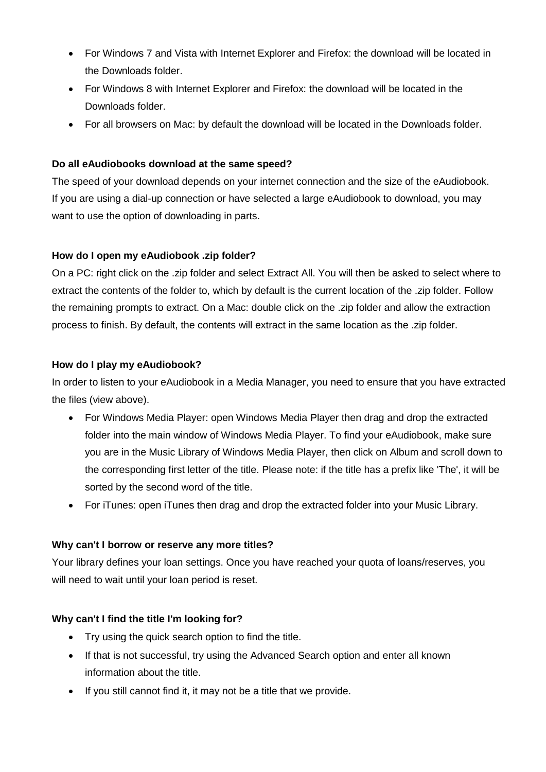- For Windows 7 and Vista with Internet Explorer and Firefox: the download will be located in the Downloads folder.
- For Windows 8 with Internet Explorer and Firefox: the download will be located in the Downloads folder.
- For all browsers on Mac: by default the download will be located in the Downloads folder.

# **Do all eAudiobooks download at the same speed?**

The speed of your download depends on your internet connection and the size of the eAudiobook. If you are using a dial-up connection or have selected a large eAudiobook to download, you may want to use the option of downloading in parts.

# **How do I open my eAudiobook .zip folder?**

On a PC: right click on the .zip folder and select Extract All. You will then be asked to select where to extract the contents of the folder to, which by default is the current location of the .zip folder. Follow the remaining prompts to extract. On a Mac: double click on the .zip folder and allow the extraction process to finish. By default, the contents will extract in the same location as the .zip folder.

# **How do I play my eAudiobook?**

In order to listen to your eAudiobook in a Media Manager, you need to ensure that you have extracted the files (view above).

- For Windows Media Player: open Windows Media Player then drag and drop the extracted folder into the main window of Windows Media Player. To find your eAudiobook, make sure you are in the Music Library of Windows Media Player, then click on Album and scroll down to the corresponding first letter of the title. Please note: if the title has a prefix like 'The', it will be sorted by the second word of the title.
- For iTunes: open iTunes then drag and drop the extracted folder into your Music Library.

# **Why can't I borrow or reserve any more titles?**

Your library defines your loan settings. Once you have reached your quota of loans/reserves, you will need to wait until your loan period is reset.

# **Why can't I find the title I'm looking for?**

- Try using the quick search option to find the title.
- If that is not successful, try using the Advanced Search option and enter all known information about the title.
- If you still cannot find it, it may not be a title that we provide.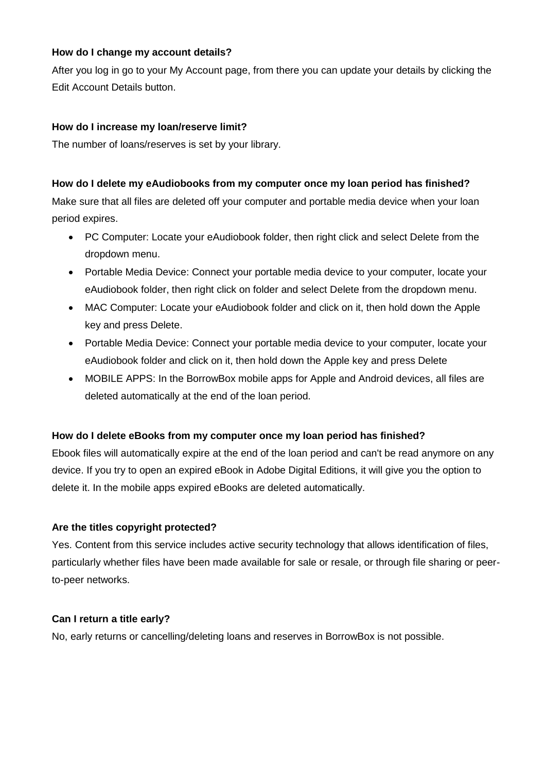#### **How do I change my account details?**

After you log in go to your My Account page, from there you can update your details by clicking the Edit Account Details button.

# **How do I increase my loan/reserve limit?**

The number of loans/reserves is set by your library.

#### **How do I delete my eAudiobooks from my computer once my loan period has finished?**

Make sure that all files are deleted off your computer and portable media device when your loan period expires.

- PC Computer: Locate your eAudiobook folder, then right click and select Delete from the dropdown menu.
- Portable Media Device: Connect your portable media device to your computer, locate your eAudiobook folder, then right click on folder and select Delete from the dropdown menu.
- MAC Computer: Locate your eAudiobook folder and click on it, then hold down the Apple key and press Delete.
- Portable Media Device: Connect your portable media device to your computer, locate your eAudiobook folder and click on it, then hold down the Apple key and press Delete
- MOBILE APPS: In the BorrowBox mobile apps for Apple and Android devices, all files are deleted automatically at the end of the loan period.

#### **How do I delete eBooks from my computer once my loan period has finished?**

Ebook files will automatically expire at the end of the loan period and can't be read anymore on any device. If you try to open an expired eBook in Adobe Digital Editions, it will give you the option to delete it. In the mobile apps expired eBooks are deleted automatically.

# **Are the titles copyright protected?**

Yes. Content from this service includes active security technology that allows identification of files, particularly whether files have been made available for sale or resale, or through file sharing or peerto-peer networks.

#### **Can I return a title early?**

No, early returns or cancelling/deleting loans and reserves in BorrowBox is not possible.